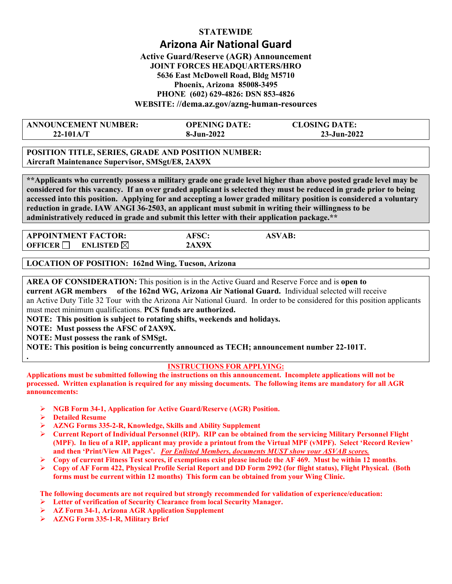# **STATEWIDE Arizona Air National Guard Active Guard/Reserve (AGR) Announcement**

## **JOINT FORCES HEADQUARTERS/HRO 5636 East McDowell Road, Bldg M5710 Phoenix, Arizona 85008-3495 PHONE (602) 629-4826: DSN 853-4826 WEBSITE: //dema.az.gov/azng-human-resources**

| <b>ANNOUNCEMENT NUMBER:</b>     | <b>CLOSING DATE:</b><br><b>OPENING DATE:</b> |
|---------------------------------|----------------------------------------------|
| $8 - Jun - 2022$<br>$22-101A/T$ | 23-Jun-2022                                  |

**POSITION TITLE, SERIES, GRADE AND POSITION NUMBER: Aircraft Maintenance Supervisor, SMSgt/E8, 2AX9X** 

**\*\*Applicants who currently possess a military grade one grade level higher than above posted grade level may be considered for this vacancy. If an over graded applicant is selected they must be reduced in grade prior to being accessed into this position. Applying for and accepting a lower graded military position is considered a voluntary reduction in grade. IAW ANGI 36-2503, an applicant must submit in writing their willingness to be administratively reduced in grade and submit this letter with their application package.\*\*** 

| <b>APPOINTMENT FACTOR:</b>                    | <b>AFSC:</b> |  |
|-----------------------------------------------|--------------|--|
| <b>OFFICER</b><br><b>ENLISTED</b> $\boxtimes$ | . VOV        |  |

**LOCATION OF POSITION: 162nd Wing, Tucson, Arizona** 

**AREA OF CONSIDERATION:** This position is in the Active Guard and Reserve Force and is **open to current AGR members of the 162nd WG, Arizona Air National Guard.** Individual selected will receive an Active Duty Title 32 Tour with the Arizona Air National Guard. In order to be considered for this position applicants must meet minimum qualifications. **PCS funds are authorized.** 

**NOTE: This position is subject to rotating shifts, weekends and holidays.** 

**NOTE: Must possess the AFSC of 2AX9X.** 

**NOTE: Must possess the rank of SMSgt.** 

**NOTE: This position is being concurrently announced as TECH; announcement number 22-101T.** 

### **INSTRUCTIONS FOR APPLYING:**

**Applications must be submitted following the instructions on this announcement. Incomplete applications will not be processed. Written explanation is required for any missing documents. The following items are mandatory for all AGR announcements:** 

- **NGB Form 34-1, Application for Active Guard/Reserve (AGR) Position.**
- **Detailed Resume**

**.**

- **AZNG Forms 335-2-R, Knowledge, Skills and Ability Supplement**
- **Current Report of Individual Personnel (RIP). RIP can be obtained from the servicing Military Personnel Flight (MPF). In lieu of a RIP, applicant may provide a printout from the Virtual MPF (vMPF). Select 'Record Review' and then 'Print/View All Pages'.** *For Enlisted Members, documents MUST show your ASVAB scores.*
- **Copy of current Fitness Test scores, if exemptions exist please include the AF 469. Must be within 12 months**.
- **Copy of AF Form 422, Physical Profile Serial Report and DD Form 2992 (for flight status), Flight Physical. (Both forms must be current within 12 months) This form can be obtained from your Wing Clinic.**

**The following documents are not required but strongly recommended for validation of experience/education:** 

- **Letter of verification of Security Clearance from local Security Manager.**
- **AZ Form 34-1, Arizona AGR Application Supplement**
- **AZNG Form 335-1-R, Military Brief**